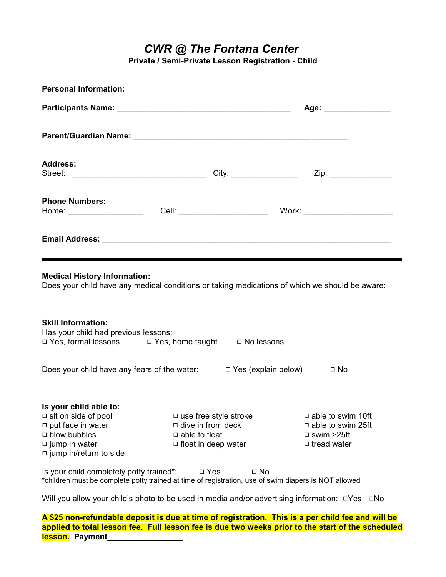*CWR @ The Fontana Center*

**Private / Semi-Private Lesson Registration - Child**

| <b>Personal Information:</b>                                                                                                                                     |                      |                                                                                        |                                                                                                 |
|------------------------------------------------------------------------------------------------------------------------------------------------------------------|----------------------|----------------------------------------------------------------------------------------|-------------------------------------------------------------------------------------------------|
|                                                                                                                                                                  |                      |                                                                                        | Age: _______________                                                                            |
|                                                                                                                                                                  |                      |                                                                                        |                                                                                                 |
| <b>Address:</b>                                                                                                                                                  |                      |                                                                                        |                                                                                                 |
| <b>Phone Numbers:</b>                                                                                                                                            |                      |                                                                                        |                                                                                                 |
|                                                                                                                                                                  |                      |                                                                                        |                                                                                                 |
| <b>Skill Information:</b><br>Has your child had previous lessons:<br>□ Yes, formal lessons □ Yes, home taught □ No lessons                                       |                      |                                                                                        |                                                                                                 |
| Does your child have any fears of the water: $\Box$ Yes (explain below) $\Box$ No                                                                                |                      |                                                                                        |                                                                                                 |
| Is your child able to:<br>$\Box$ sit on side of pool<br>$\Box$ put face in water<br>$\Box$ blow bubbles<br>$\Box$ jump in water<br>$\Box$ jump in/return to side | $\Box$ able to float | $\Box$ use free style stroke<br>$\Box$ dive in from deck<br>$\Box$ float in deep water | $\Box$ able to swim 10ft<br>$\Box$ able to swim 25ft<br>$\Box$ swim >25ft<br>$\Box$ tread water |
| Is your child completely potty trained*:<br>*children must be complete potty trained at time of registration, use of swim diapers is NOT allowed                 |                      | $\Box$ Yes<br>$\Box$ No                                                                |                                                                                                 |
| Will you allow your child's photo to be used in media and/or advertising information: □Yes □No                                                                   |                      |                                                                                        |                                                                                                 |

**A \$25 non-refundable deposit is due at time of registration. This is a per child fee and will be applied to total lesson fee. Full lesson fee is due two weeks prior to the start of the scheduled lesson. Payment\_\_\_\_\_\_\_\_\_\_\_\_\_\_\_\_\_**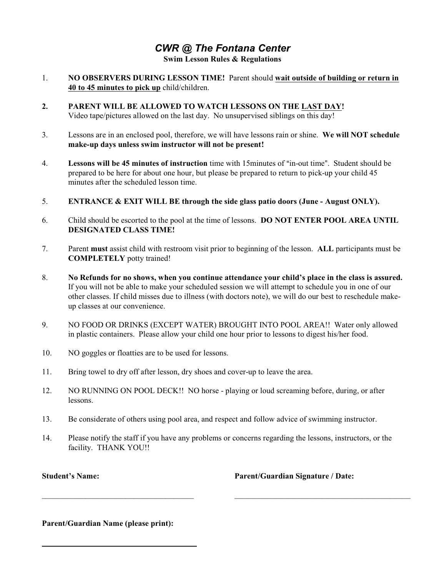## *CWR @ The Fontana Center* **Swim Lesson Rules & Regulations**

- 1. **NO OBSERVERS DURING LESSON TIME!** Parent should **wait outside of building or return in 40 to 45 minutes to pick up** child/children.
- **2. PARENT WILL BE ALLOWED TO WATCH LESSONS ON THE LAST DAY!** Video tape/pictures allowed on the last day. No unsupervised siblings on this day!
- 3. Lessons are in an enclosed pool, therefore, we will have lessons rain or shine. **We will NOT schedule make-up days unless swim instructor will not be present!**
- 4. **Lessons will be 45 minutes of instruction** time with 15minutes of "in-out time". Student should be prepared to be here for about one hour, but please be prepared to return to pick-up your child 45 minutes after the scheduled lesson time.
- 5. **ENTRANCE & EXIT WILL BE through the side glass patio doors (June August ONLY).**
- 6. Child should be escorted to the pool at the time of lessons. **DO NOT ENTER POOL AREA UNTIL DESIGNATED CLASS TIME!**
- 7. Parent **must** assist child with restroom visit prior to beginning of the lesson. **ALL** participants must be **COMPLETELY** potty trained!
- 8. **No Refunds for no shows, when you continue attendance your child's place in the class is assured.** If you will not be able to make your scheduled session we will attempt to schedule you in one of our other classes. If child misses due to illness (with doctors note), we will do our best to reschedule makeup classes at our convenience.
- 9. NO FOOD OR DRINKS (EXCEPT WATER) BROUGHT INTO POOL AREA!! Water only allowed in plastic containers. Please allow your child one hour prior to lessons to digest his/her food.
- 10. NO goggles or floatties are to be used for lessons.
- 11. Bring towel to dry off after lesson, dry shoes and cover-up to leave the area.
- 12. NO RUNNING ON POOL DECK!! NO horse playing or loud screaming before, during, or after lessons.
- 13. Be considerate of others using pool area, and respect and follow advice of swimming instructor.
- 14. Please notify the staff if you have any problems or concerns regarding the lessons, instructors, or the facility. THANK YOU!!

**Student's Name:** 

**Parent/Guardian Signature / Date:**

\_\_\_\_\_\_\_\_\_\_\_\_\_\_\_\_\_\_\_\_\_\_\_\_\_\_\_\_\_\_\_\_\_\_\_\_\_\_\_\_\_\_\_\_

**Parent/Guardian Name (please print):**

\_\_\_\_\_\_\_\_\_\_\_\_\_\_\_\_\_\_\_\_\_\_\_\_\_\_\_\_\_\_\_\_\_\_\_\_\_\_